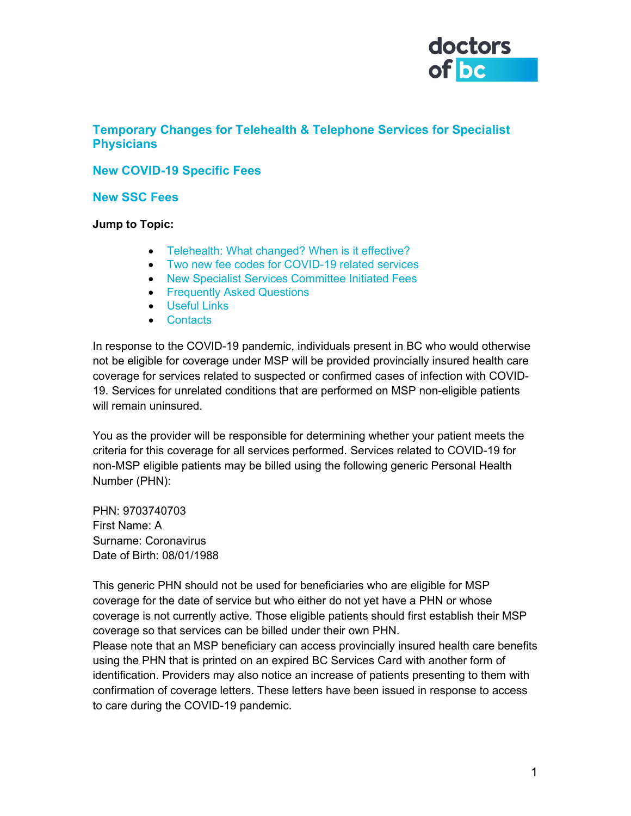

## **Temporary Changes for Telehealth & Telephone Services for Specialist Physicians**

### **New COVID-19 Specific Fees**

#### **New SSC Fees**

<span id="page-0-0"></span>**Jump to Topic:**

- Telehealth: What changed? When is it effective?
- Two new fee codes for COVID-19 related services
- New Specialist Services Committee Initiated Fees
- Frequently Asked Questions
- Useful Links
- Contacts

In response to the COVID-19 pandemic, individuals present in BC who would otherwise not be eligible for coverage under MSP will be provided provincially insured health care coverage for services related to suspected or confirmed cases of infection with COVID-19. Services for unrelated conditions that are performed on MSP non-eligible patients will remain uninsured.

You as the provider will be responsible for determining whether your patient meets the criteria for this coverage for all services performed. Services related to COVID-19 for non-MSP eligible patients may be billed using the following generic Personal Health Number (PHN):

PHN: 9703740703 First Name: A Surname: Coronavirus Date of Birth: 08/01/1988

This generic PHN should not be used for beneficiaries who are eligible for MSP coverage for the date of service but who either do not yet have a PHN or whose coverage is not currently active. Those eligible patients should first establish their MSP coverage so that services can be billed under their own PHN.

Please note that an MSP beneficiary can access provincially insured health care benefits using the PHN that is printed on an expired BC Services Card with another form of identification. Providers may also notice an increase of patients presenting to them with confirmation of coverage letters. These letters have been issued in response to access to care during the COVID-19 pandemic.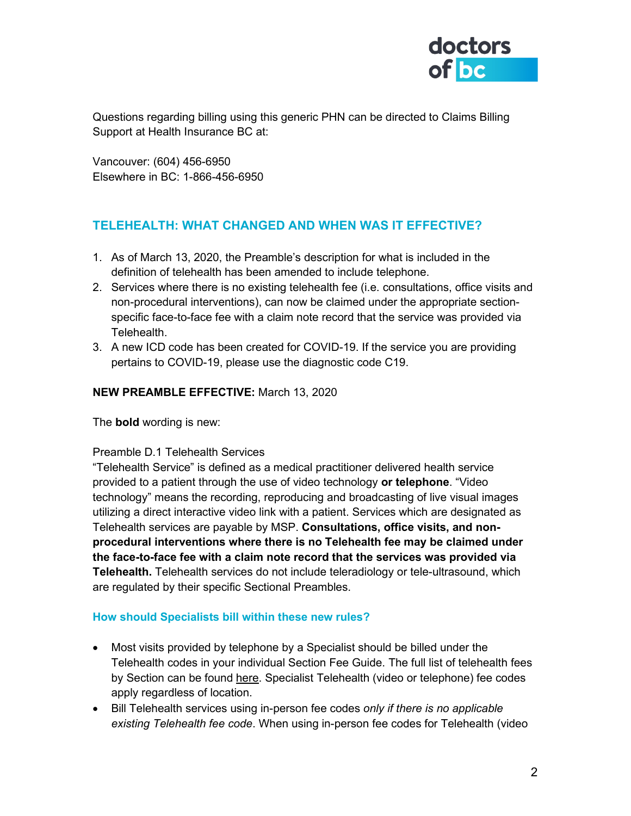

Questions regarding billing using this generic PHN can be directed to Claims Billing Support at Health Insurance BC at:

Vancouver: (604) 456-6950 Elsewhere in BC: 1-866-456-6950

# **TELEHEALTH: WHAT CHANGED AND WHEN WAS IT EFFECTIVE?**

- 1. As of March 13, 2020, the Preamble's description for what is included in the definition of telehealth has been amended to include telephone.
- 2. Services where there is no existing telehealth fee (i.e. consultations, office visits and non-procedural interventions), can now be claimed under the appropriate sectionspecific face-to-face fee with a claim note record that the service was provided via Telehealth.
- 3. A new ICD code has been created for COVID-19. If the service you are providing pertains to COVID-19, please use the diagnostic code C19.

### **NEW PREAMBLE EFFECTIVE:** March 13, 2020

The **bold** wording is new:

#### Preamble D.1 Telehealth Services

"Telehealth Service" is defined as a medical practitioner delivered health service provided to a patient through the use of video technology **or telephone**. "Video technology" means the recording, reproducing and broadcasting of live visual images utilizing a direct interactive video link with a patient. Services which are designated as Telehealth services are payable by MSP. **Consultations, office visits, and nonprocedural interventions where there is no Telehealth fee may be claimed under the face-to-face fee with a claim note record that the services was provided via Telehealth.** Telehealth services do not include teleradiology or tele-ultrasound, which are regulated by their specific Sectional Preambles.

#### **How should Specialists bill within these new rules?**

- Most visits provided by telephone by a Specialist should be billed under the Telehealth codes in your individual Section Fee Guide. The full list of telehealth fees by Section can be found [here.](http://www.doctorsofbc.ca/sites/default/files/telehealth_fees_-_by_section_id_322013.pdf) Specialist Telehealth (video or telephone) fee codes apply regardless of location.
- Bill Telehealth services using in-person fee codes *only if there is no applicable existing Telehealth fee code*. When using in-person fee codes for Telehealth (video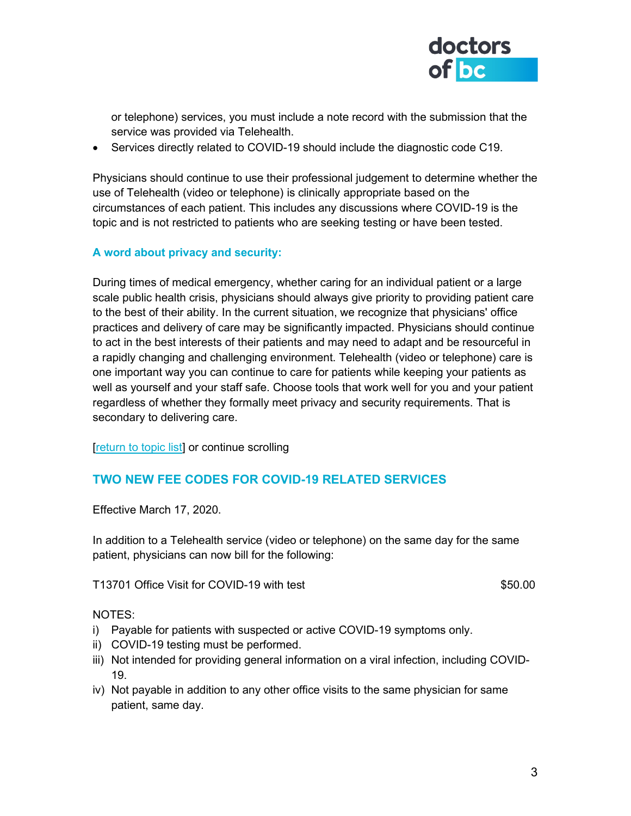

or telephone) services, you must include a note record with the submission that the service was provided via Telehealth.

• Services directly related to COVID-19 should include the diagnostic code C19.

Physicians should continue to use their professional judgement to determine whether the use of Telehealth (video or telephone) is clinically appropriate based on the circumstances of each patient. This includes any discussions where COVID-19 is the topic and is not restricted to patients who are seeking testing or have been tested.

### **A word about privacy and security:**

During times of medical emergency, whether caring for an individual patient or a large scale public health crisis, physicians should always give priority to providing patient care to the best of their ability. In the current situation, we recognize that physicians' office practices and delivery of care may be significantly impacted. Physicians should continue to act in the best interests of their patients and may need to adapt and be resourceful in a rapidly changing and challenging environment. Telehealth (video or telephone) care is one important way you can continue to care for patients while keeping your patients as well as yourself and your staff safe. Choose tools that work well for you and your patient regardless of whether they formally meet privacy and security requirements. That is secondary to delivering care.

[\[return to topic list\]](#page-0-0) or continue scrolling

## **TWO NEW FEE CODES FOR COVID-19 RELATED SERVICES**

Effective March 17, 2020.

In addition to a Telehealth service (video or telephone) on the same day for the same patient, physicians can now bill for the following:

T13701 Office Visit for COVID-19 with test \$50.00

NOTES:

- i) Payable for patients with suspected or active COVID-19 symptoms only.
- ii) COVID-19 testing must be performed.
- iii) Not intended for providing general information on a viral infection, including COVID-19.
- iv) Not payable in addition to any other office visits to the same physician for same patient, same day.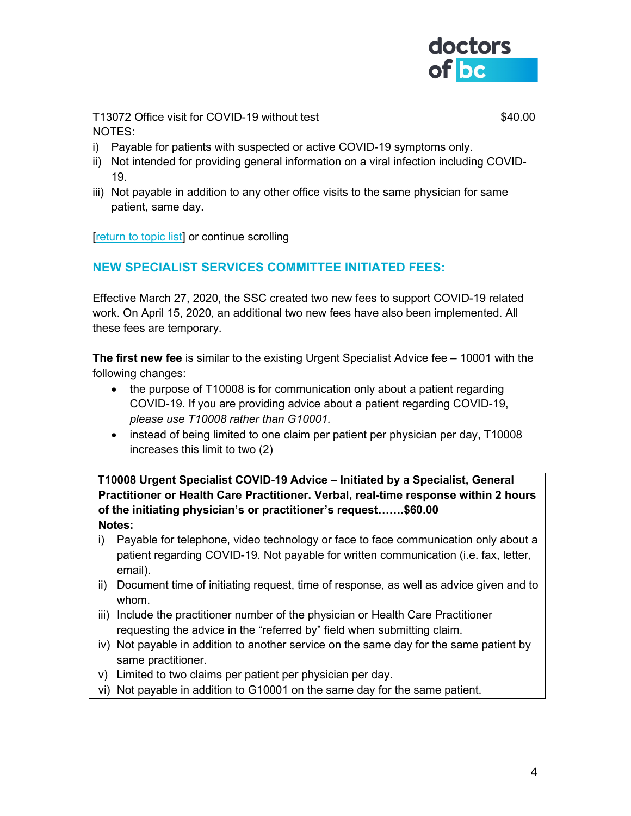

T13072 Office visit for COVID-19 without test  $$40.00$ NOTES:

- i) Payable for patients with suspected or active COVID-19 symptoms only.
- ii) Not intended for providing general information on a viral infection including COVID-19.
- iii) Not payable in addition to any other office visits to the same physician for same patient, same day.

**[\[return to topic list\]](#page-0-0)** or continue scrolling

# **NEW SPECIALIST SERVICES COMMITTEE INITIATED FEES:**

Effective March 27, 2020, the SSC created two new fees to support COVID-19 related work. On April 15, 2020, an additional two new fees have also been implemented. All these fees are temporary.

**The first new fee** is similar to the existing Urgent Specialist Advice fee – 10001 with the following changes:

- the purpose of T10008 is for communication only about a patient regarding COVID-19. If you are providing advice about a patient regarding COVID-19, *please use T10008 rather than G10001.*
- instead of being limited to one claim per patient per physician per day, T10008 increases this limit to two (2)

**T10008 Urgent Specialist COVID-19 Advice – Initiated by a Specialist, General Practitioner or Health Care Practitioner. Verbal, real-time response within 2 hours of the initiating physician's or practitioner's request…….\$60.00 Notes:**

- i) Payable for telephone, video technology or face to face communication only about a patient regarding COVID-19. Not payable for written communication (i.e. fax, letter, email).
- ii) Document time of initiating request, time of response, as well as advice given and to whom.
- iii) Include the practitioner number of the physician or Health Care Practitioner requesting the advice in the "referred by" field when submitting claim.
- iv) Not payable in addition to another service on the same day for the same patient by same practitioner.
- v) Limited to two claims per patient per physician per day.
- vi) Not payable in addition to G10001 on the same day for the same patient.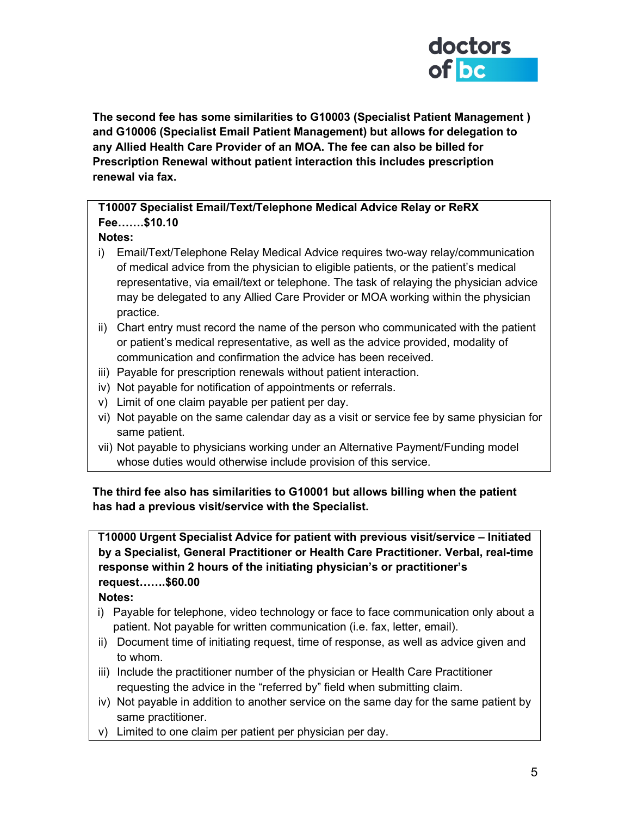

**The second fee has some similarities to G10003 (Specialist Patient Management ) and G10006 (Specialist Email Patient Management) but allows for delegation to any Allied Health Care Provider of an MOA. The fee can also be billed for Prescription Renewal without patient interaction this includes prescription renewal via fax.**

## **T10007 Specialist Email/Text/Telephone Medical Advice Relay or ReRX Fee…….\$10.10**

## **Notes:**

- i) Email/Text/Telephone Relay Medical Advice requires two-way relay/communication of medical advice from the physician to eligible patients, or the patient's medical representative, via email/text or telephone. The task of relaying the physician advice may be delegated to any Allied Care Provider or MOA working within the physician practice.
- ii) Chart entry must record the name of the person who communicated with the patient or patient's medical representative, as well as the advice provided, modality of communication and confirmation the advice has been received.
- iii) Payable for prescription renewals without patient interaction.
- iv) Not payable for notification of appointments or referrals.
- v) Limit of one claim payable per patient per day.
- vi) Not payable on the same calendar day as a visit or service fee by same physician for same patient.
- vii) Not payable to physicians working under an Alternative Payment/Funding model whose duties would otherwise include provision of this service.

**The third fee also has similarities to G10001 but allows billing when the patient has had a previous visit/service with the Specialist.**

**T10000 Urgent Specialist Advice for patient with previous visit/service – Initiated by a Specialist, General Practitioner or Health Care Practitioner. Verbal, real-time response within 2 hours of the initiating physician's or practitioner's request…….\$60.00**

**Notes:**

- i) Payable for telephone, video technology or face to face communication only about a patient. Not payable for written communication (i.e. fax, letter, email).
- ii) Document time of initiating request, time of response, as well as advice given and to whom.
- iii) Include the practitioner number of the physician or Health Care Practitioner requesting the advice in the "referred by" field when submitting claim.
- iv) Not payable in addition to another service on the same day for the same patient by same practitioner.
- v) Limited to one claim per patient per physician per day.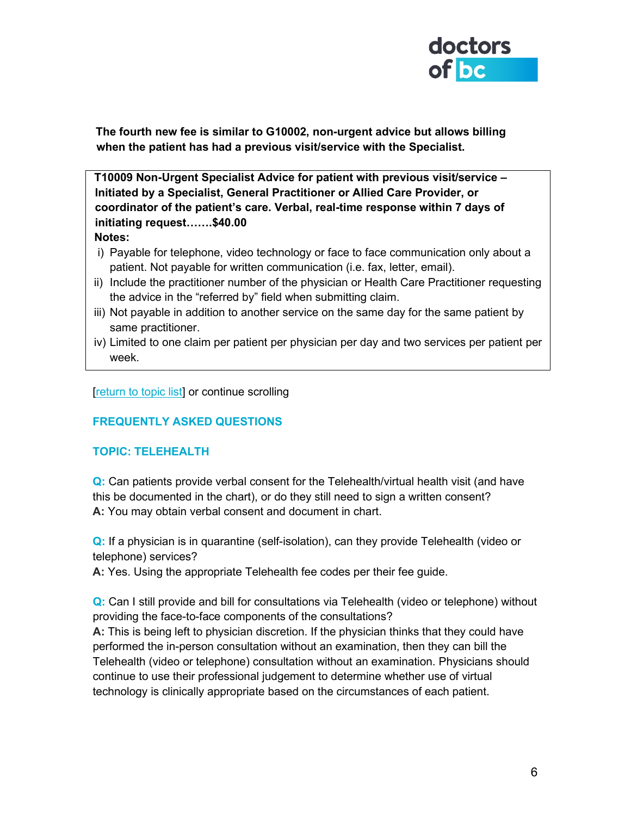

**The fourth new fee is similar to G10002, non-urgent advice but allows billing when the patient has had a previous visit/service with the Specialist.**

**T10009 Non-Urgent Specialist Advice for patient with previous visit/service – Initiated by a Specialist, General Practitioner or Allied Care Provider, or coordinator of the patient's care. Verbal, real-time response within 7 days of initiating request…….\$40.00 Notes:**

- i) Payable for telephone, video technology or face to face communication only about a patient. Not payable for written communication (i.e. fax, letter, email).
- ii) Include the practitioner number of the physician or Health Care Practitioner requesting the advice in the "referred by" field when submitting claim.
- iii) Not payable in addition to another service on the same day for the same patient by same practitioner.
- iv) Limited to one claim per patient per physician per day and two services per patient per week.

[\[return to topic list\]](#page-0-0) or continue scrolling

## **FREQUENTLY ASKED QUESTIONS**

#### **TOPIC: TELEHEALTH**

**Q:** Can patients provide verbal consent for the Telehealth/virtual health visit (and have this be documented in the chart), or do they still need to sign a written consent? **A:** You may obtain verbal consent and document in chart.

**Q:** If a physician is in quarantine (self-isolation), can they provide Telehealth (video or telephone) services?

**A:** Yes. Using the appropriate Telehealth fee codes per their fee guide.

**Q:** Can I still provide and bill for consultations via Telehealth (video or telephone) without providing the face-to-face components of the consultations?

**A:** This is being left to physician discretion. If the physician thinks that they could have performed the in-person consultation without an examination, then they can bill the Telehealth (video or telephone) consultation without an examination. Physicians should continue to use their professional judgement to determine whether use of virtual technology is clinically appropriate based on the circumstances of each patient.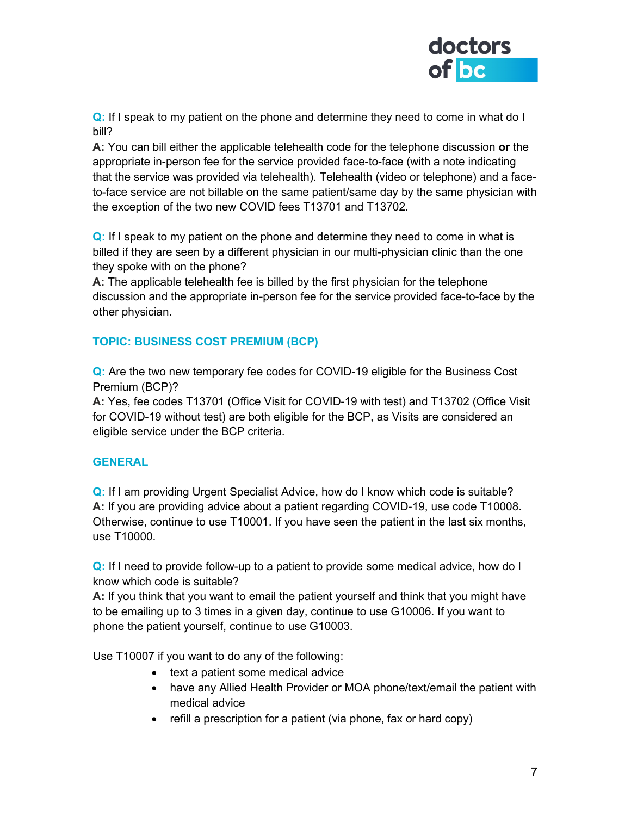

**Q:** If I speak to my patient on the phone and determine they need to come in what do I bill?

**A:** You can bill either the applicable telehealth code for the telephone discussion **or** the appropriate in-person fee for the service provided face-to-face (with a note indicating that the service was provided via telehealth). Telehealth (video or telephone) and a faceto-face service are not billable on the same patient/same day by the same physician with the exception of the two new COVID fees T13701 and T13702.

**Q:** If I speak to my patient on the phone and determine they need to come in what is billed if they are seen by a different physician in our multi-physician clinic than the one they spoke with on the phone?

**A:** The applicable telehealth fee is billed by the first physician for the telephone discussion and the appropriate in-person fee for the service provided face-to-face by the other physician.

## **TOPIC: BUSINESS COST PREMIUM (BCP)**

**Q:** Are the two new temporary fee codes for COVID-19 eligible for the Business Cost Premium (BCP)?

**A:** Yes, fee codes T13701 (Office Visit for COVID-19 with test) and T13702 (Office Visit for COVID-19 without test) are both eligible for the BCP, as Visits are considered an eligible service under the BCP criteria.

## **GENERAL**

**Q:** If I am providing Urgent Specialist Advice, how do I know which code is suitable? **A:** If you are providing advice about a patient regarding COVID-19, use code T10008. Otherwise, continue to use T10001. If you have seen the patient in the last six months, use T10000.

**Q:** If I need to provide follow-up to a patient to provide some medical advice, how do I know which code is suitable?

**A:** If you think that you want to email the patient yourself and think that you might have to be emailing up to 3 times in a given day, continue to use G10006. If you want to phone the patient yourself, continue to use G10003.

Use T10007 if you want to do any of the following:

- text a patient some medical advice
- have any Allied Health Provider or MOA phone/text/email the patient with medical advice
- refill a prescription for a patient (via phone, fax or hard copy)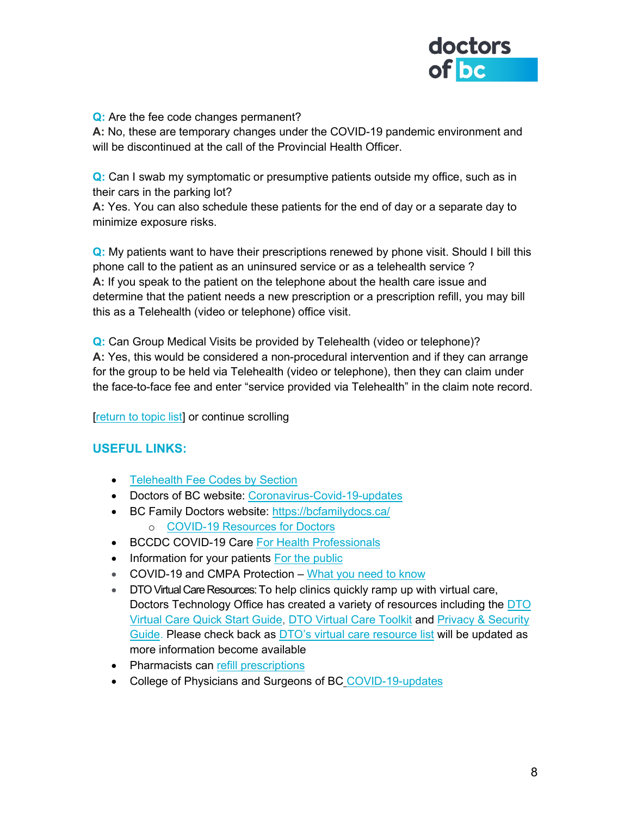

#### **Q:** Are the fee code changes permanent?

**A:** No, these are temporary changes under the COVID-19 pandemic environment and will be discontinued at the call of the Provincial Health Officer.

**Q:** Can I swab my symptomatic or presumptive patients outside my office, such as in their cars in the parking lot?

**A:** Yes. You can also schedule these patients for the end of day or a separate day to minimize exposure risks.

**Q:** My patients want to have their prescriptions renewed by phone visit. Should I bill this phone call to the patient as an uninsured service or as a telehealth service ? **A:** If you speak to the patient on the telephone about the health care issue and determine that the patient needs a new prescription or a prescription refill, you may bill this as a Telehealth (video or telephone) office visit.

**Q:** Can Group Medical Visits be provided by Telehealth (video or telephone)? **A:** Yes, this would be considered a non-procedural intervention and if they can arrange for the group to be held via Telehealth (video or telephone), then they can claim under the face-to-face fee and enter "service provided via Telehealth" in the claim note record.

[\[return to topic list\]](#page-0-0) or continue scrolling

## **USEFUL LINKS:**

- Telehealth [Fee Codes by Section](https://www.doctorsofbc.ca/sites/default/files/telehealth_fees_-_by_section_id_322013.pdf)
- Doctors of BC website: [Coronavirus-Covid-19-updates](https://www.doctorsofbc.ca/working-change/advocating-physicians/coronavirus-covid-19-updates)
- BC Family Doctors website:<https://bcfamilydocs.ca/>
	- o [COVID-19 Resources for Doctors](https://bcfamilydocs.ca/covid-19-useful-resources/)
- BCCDC COVID-19 Care [For Health Professionals](http://www.bccdc.ca/health-professionals/clinical-resources/covid-19-care)
- Information for your patients [For the public](http://www.bccdc.ca/health-info/diseases-conditions/covid-19)
- COVID-19 and CMPA Protection [What you need to know](https://www.cmpa-acpm.ca/en/news/2020/2020-covid-19-cmpa-protection)
- DTO Virtual Care Resources: To help clinics quickly ramp up with virtual care, Doctors Technology Office has created a variety of resources including the [DTO](https://mfiles.doctorsofbc.ca/SharedLinks.aspx?accesskey=44514cc2d8ecc6e0b08349ccde178ca0829129352b79eef3cdb77034732aea54&VaultGUID=D43316D7-A660-4C25-A7F3-285FB47DAEC5)  [Virtual Care Quick Start Guide,](https://mfiles.doctorsofbc.ca/SharedLinks.aspx?accesskey=44514cc2d8ecc6e0b08349ccde178ca0829129352b79eef3cdb77034732aea54&VaultGUID=D43316D7-A660-4C25-A7F3-285FB47DAEC5) [DTO Virtual Care Toolkit](https://mfiles.doctorsofbc.ca/SharedLinks.aspx?accesskey=0fb37be366f7d872e6e7baa0f4c0257b53877b239fdafabbb0057b2be382824b&VaultGUID=D43316D7-A660-4C25-A7F3-285FB47DAEC5) and Privacy [& Security](https://www.doctorsofbc.ca/sites/default/files/dto-guide-videoconferencing_-_privacy_and_security_considerations.pdf)  [Guide.](https://www.doctorsofbc.ca/sites/default/files/dto-guide-videoconferencing_-_privacy_and_security_considerations.pdf) Please check back as **[DTO's virtual care resource list](http://www.doctorsofbc.ca/resource-centre/physicians/doctors-technology-office-dto/health-technology-resources#tab-0-2) will be updated as** more information become available
- Pharmacists can [refill prescriptions](https://www.bcpharmacists.org/covid19)
- College of Physicians and Surgeons of BC [COVID-19-updates](https://www.cpsbc.ca/news/COVID-19-updates)